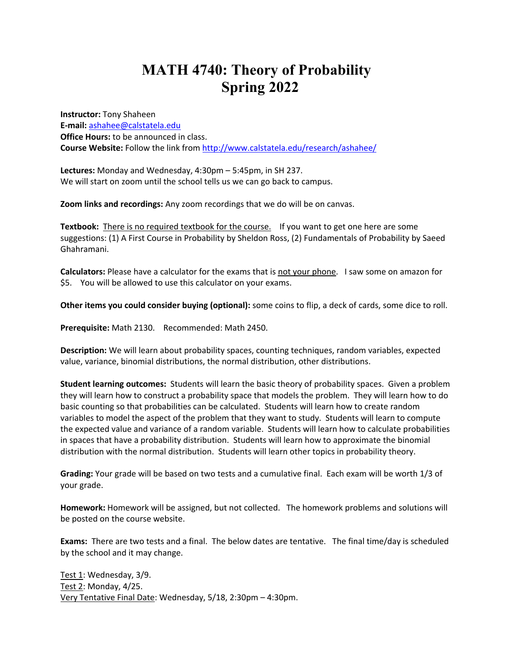## **MATH 4740: Theory of Probability Spring 2022**

**Instructor:** Tony Shaheen **E-mail:** ashahee@calstatela.edu **Office Hours:** to be announced in class. **Course Website:** Follow the link from http://www.calstatela.edu/research/ashahee/

**Lectures:** Monday and Wednesday, 4:30pm – 5:45pm, in SH 237. We will start on zoom until the school tells us we can go back to campus.

**Zoom links and recordings:** Any zoom recordings that we do will be on canvas.

**Textbook:** There is no required textbook for the course. If you want to get one here are some suggestions: (1) A First Course in Probability by Sheldon Ross, (2) Fundamentals of Probability by Saeed Ghahramani.

**Calculators:** Please have a calculator for the exams that is not your phone. I saw some on amazon for \$5. You will be allowed to use this calculator on your exams.

**Other items you could consider buying (optional):** some coins to flip, a deck of cards, some dice to roll.

**Prerequisite:** Math 2130. Recommended: Math 2450.

**Description:** We will learn about probability spaces, counting techniques, random variables, expected value, variance, binomial distributions, the normal distribution, other distributions.

**Student learning outcomes:** Students will learn the basic theory of probability spaces. Given a problem they will learn how to construct a probability space that models the problem. They will learn how to do basic counting so that probabilities can be calculated. Students will learn how to create random variables to model the aspect of the problem that they want to study. Students will learn to compute the expected value and variance of a random variable. Students will learn how to calculate probabilities in spaces that have a probability distribution. Students will learn how to approximate the binomial distribution with the normal distribution. Students will learn other topics in probability theory.

**Grading:** Your grade will be based on two tests and a cumulative final. Each exam will be worth 1/3 of your grade.

**Homework:** Homework will be assigned, but not collected. The homework problems and solutions will be posted on the course website.

**Exams:** There are two tests and a final. The below dates are tentative. The final time/day is scheduled by the school and it may change.

Test 1: Wednesday, 3/9. Test 2: Monday, 4/25. Very Tentative Final Date: Wednesday, 5/18, 2:30pm – 4:30pm.